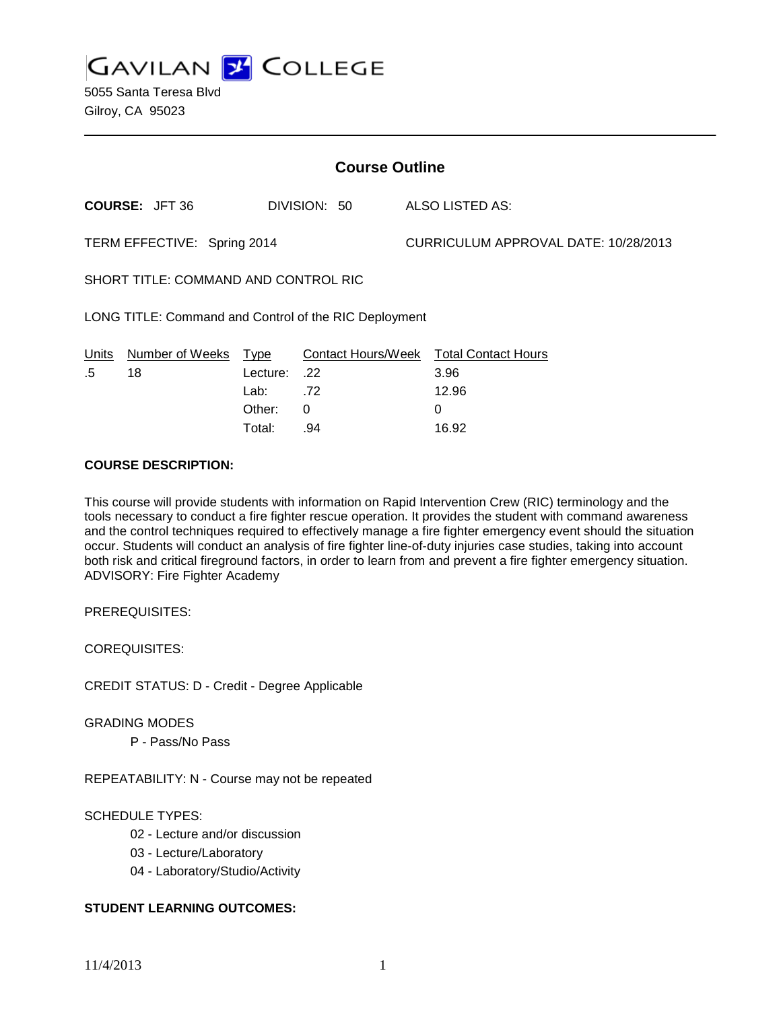**GAVILAN Z COLLEGE** 

5055 Santa Teresa Blvd Gilroy, CA 95023

| <b>Course Outline</b>                                 |                       |          |                    |  |                                      |  |
|-------------------------------------------------------|-----------------------|----------|--------------------|--|--------------------------------------|--|
|                                                       | <b>COURSE: JFT 36</b> |          | DIVISION: 50       |  | ALSO LISTED AS:                      |  |
| TERM EFFECTIVE: Spring 2014                           |                       |          |                    |  | CURRICULUM APPROVAL DATE: 10/28/2013 |  |
| SHORT TITLE: COMMAND AND CONTROL RIC                  |                       |          |                    |  |                                      |  |
| LONG TITLE: Command and Control of the RIC Deployment |                       |          |                    |  |                                      |  |
| Units                                                 | Number of Weeks       | Type     | Contact Hours/Week |  | <b>Total Contact Hours</b>           |  |
| .5                                                    | 18                    | Lecture: | .22                |  | 3.96                                 |  |
|                                                       |                       | Lab:     | .72                |  | 12.96                                |  |
|                                                       |                       | Other:   | 0                  |  | 0                                    |  |
|                                                       |                       | Total:   | .94                |  | 16.92                                |  |

#### **COURSE DESCRIPTION:**

This course will provide students with information on Rapid Intervention Crew (RIC) terminology and the tools necessary to conduct a fire fighter rescue operation. It provides the student with command awareness and the control techniques required to effectively manage a fire fighter emergency event should the situation occur. Students will conduct an analysis of fire fighter line-of-duty injuries case studies, taking into account both risk and critical fireground factors, in order to learn from and prevent a fire fighter emergency situation. ADVISORY: Fire Fighter Academy

PREREQUISITES:

COREQUISITES:

CREDIT STATUS: D - Credit - Degree Applicable

GRADING MODES

P - Pass/No Pass

REPEATABILITY: N - Course may not be repeated

## SCHEDULE TYPES:

- 02 Lecture and/or discussion
- 03 Lecture/Laboratory
- 04 Laboratory/Studio/Activity

# **STUDENT LEARNING OUTCOMES:**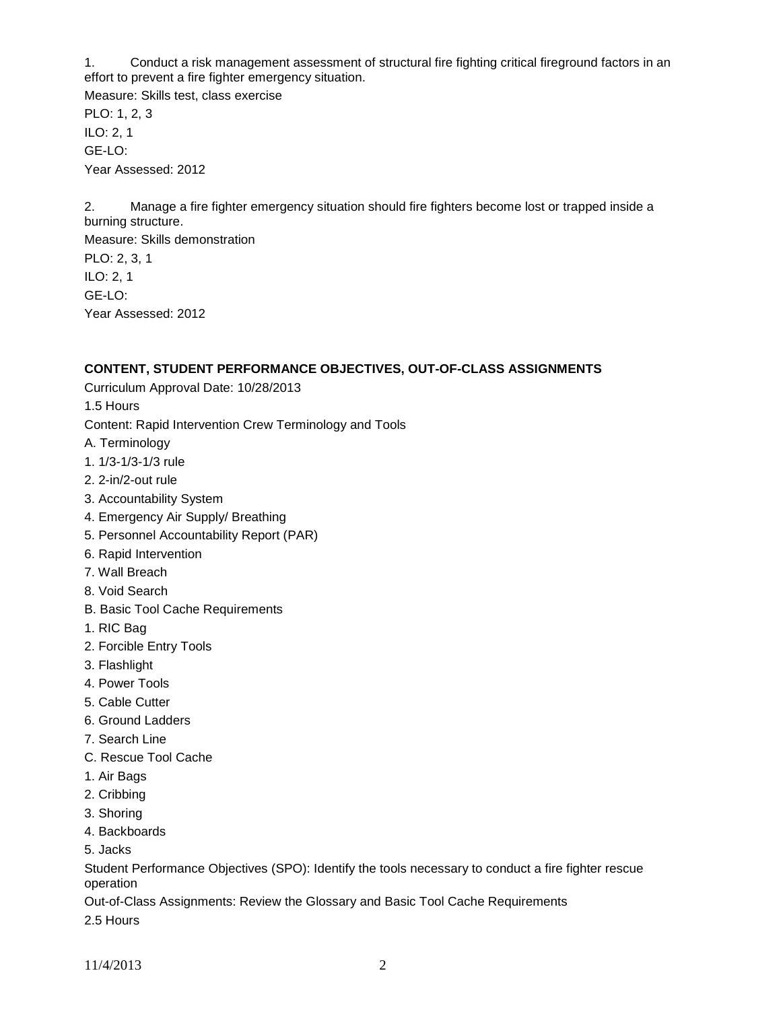1. Conduct a risk management assessment of structural fire fighting critical fireground factors in an effort to prevent a fire fighter emergency situation.

Measure: Skills test, class exercise PLO: 1, 2, 3 ILO: 2, 1 GE-LO: Year Assessed: 2012

2. Manage a fire fighter emergency situation should fire fighters become lost or trapped inside a burning structure.

Measure: Skills demonstration PLO: 2, 3, 1 ILO: 2, 1 GE-LO: Year Assessed: 2012

## **CONTENT, STUDENT PERFORMANCE OBJECTIVES, OUT-OF-CLASS ASSIGNMENTS**

Curriculum Approval Date: 10/28/2013

1.5 Hours

Content: Rapid Intervention Crew Terminology and Tools

- A. Terminology
- 1. 1/3-1/3-1/3 rule
- 2. 2-in/2-out rule
- 3. Accountability System
- 4. Emergency Air Supply/ Breathing
- 5. Personnel Accountability Report (PAR)
- 6. Rapid Intervention
- 7. Wall Breach
- 8. Void Search
- B. Basic Tool Cache Requirements
- 1. RIC Bag
- 2. Forcible Entry Tools
- 3. Flashlight
- 4. Power Tools
- 5. Cable Cutter
- 6. Ground Ladders
- 7. Search Line
- C. Rescue Tool Cache
- 1. Air Bags
- 2. Cribbing
- 3. Shoring
- 4. Backboards
- 5. Jacks

Student Performance Objectives (SPO): Identify the tools necessary to conduct a fire fighter rescue operation

Out-of-Class Assignments: Review the Glossary and Basic Tool Cache Requirements

2.5 Hours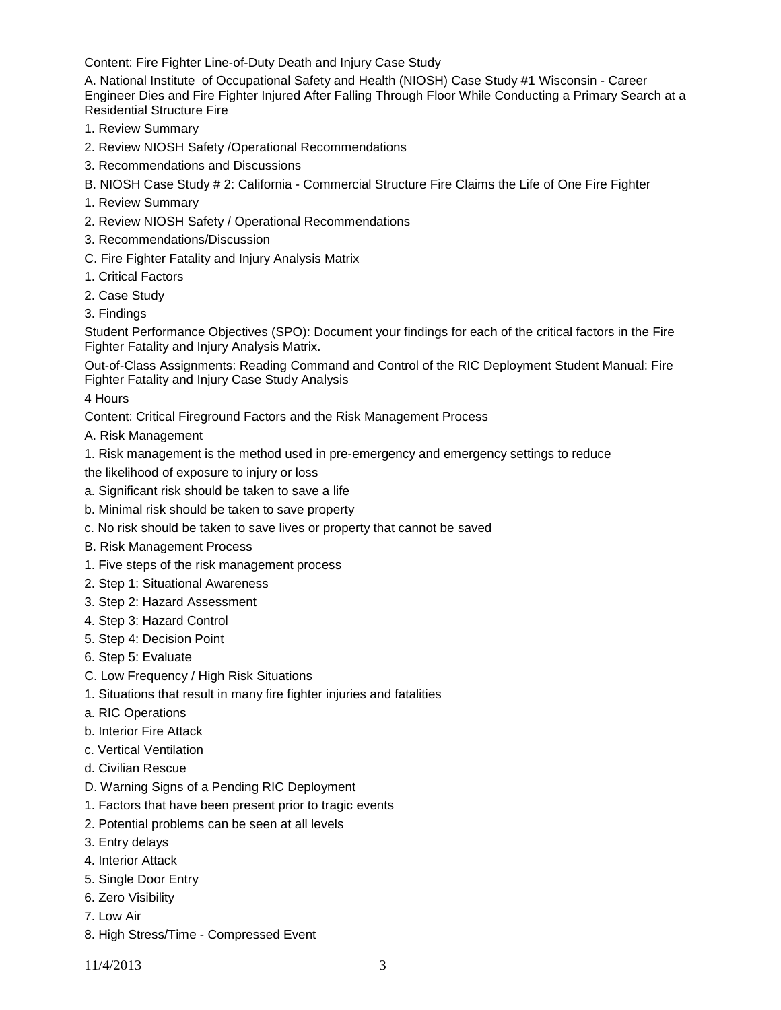Content: Fire Fighter Line-of-Duty Death and Injury Case Study

A. National Institute of Occupational Safety and Health (NIOSH) Case Study #1 Wisconsin - Career Engineer Dies and Fire Fighter Injured After Falling Through Floor While Conducting a Primary Search at a Residential Structure Fire

- 1. Review Summary
- 2. Review NIOSH Safety /Operational Recommendations
- 3. Recommendations and Discussions
- B. NIOSH Case Study # 2: California Commercial Structure Fire Claims the Life of One Fire Fighter
- 1. Review Summary
- 2. Review NIOSH Safety / Operational Recommendations
- 3. Recommendations/Discussion
- C. Fire Fighter Fatality and Injury Analysis Matrix
- 1. Critical Factors
- 2. Case Study
- 3. Findings

Student Performance Objectives (SPO): Document your findings for each of the critical factors in the Fire Fighter Fatality and Injury Analysis Matrix.

Out-of-Class Assignments: Reading Command and Control of the RIC Deployment Student Manual: Fire Fighter Fatality and Injury Case Study Analysis

4 Hours

Content: Critical Fireground Factors and the Risk Management Process

A. Risk Management

1. Risk management is the method used in pre-emergency and emergency settings to reduce

the likelihood of exposure to injury or loss

- a. Significant risk should be taken to save a life
- b. Minimal risk should be taken to save property
- c. No risk should be taken to save lives or property that cannot be saved
- B. Risk Management Process
- 1. Five steps of the risk management process
- 2. Step 1: Situational Awareness
- 3. Step 2: Hazard Assessment
- 4. Step 3: Hazard Control
- 5. Step 4: Decision Point
- 6. Step 5: Evaluate
- C. Low Frequency / High Risk Situations
- 1. Situations that result in many fire fighter injuries and fatalities
- a. RIC Operations
- b. Interior Fire Attack
- c. Vertical Ventilation
- d. Civilian Rescue
- D. Warning Signs of a Pending RIC Deployment
- 1. Factors that have been present prior to tragic events
- 2. Potential problems can be seen at all levels
- 3. Entry delays
- 4. Interior Attack
- 5. Single Door Entry
- 6. Zero Visibility
- 7. Low Air
- 8. High Stress/Time Compressed Event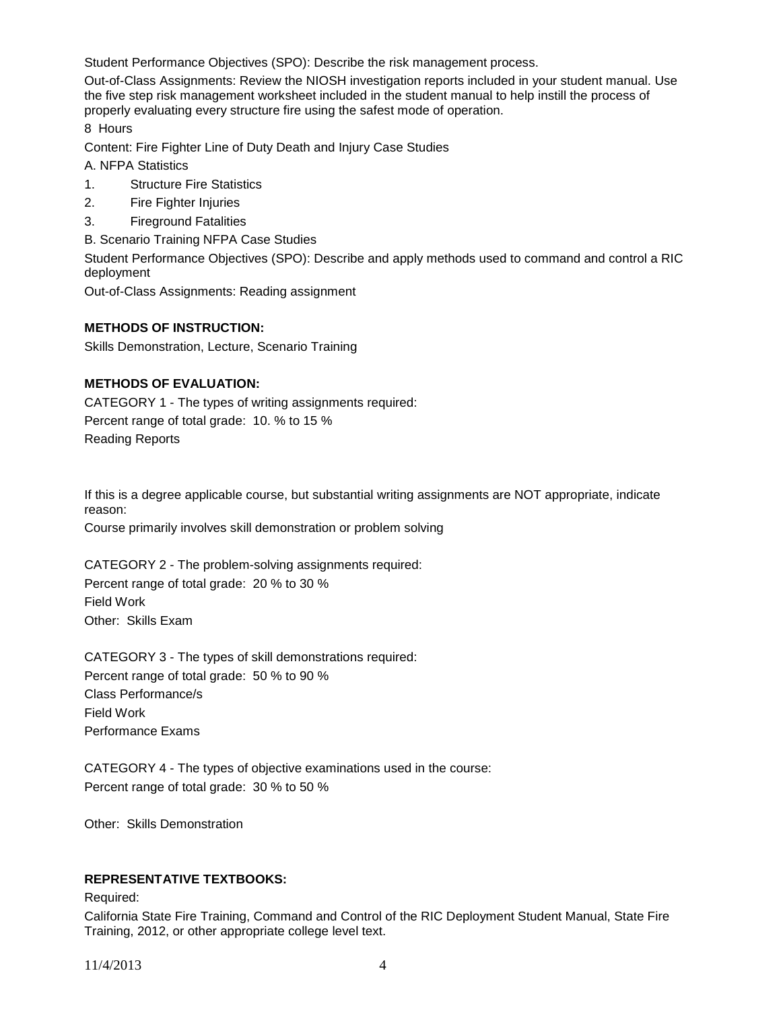Student Performance Objectives (SPO): Describe the risk management process.

Out-of-Class Assignments: Review the NIOSH investigation reports included in your student manual. Use the five step risk management worksheet included in the student manual to help instill the process of properly evaluating every structure fire using the safest mode of operation.

8 Hours

Content: Fire Fighter Line of Duty Death and Injury Case Studies

A. NFPA Statistics

- 1. Structure Fire Statistics
- 2. Fire Fighter Injuries
- 3. Fireground Fatalities
- B. Scenario Training NFPA Case Studies

Student Performance Objectives (SPO): Describe and apply methods used to command and control a RIC deployment

Out-of-Class Assignments: Reading assignment

#### **METHODS OF INSTRUCTION:**

Skills Demonstration, Lecture, Scenario Training

## **METHODS OF EVALUATION:**

CATEGORY 1 - The types of writing assignments required: Percent range of total grade: 10. % to 15 % Reading Reports

If this is a degree applicable course, but substantial writing assignments are NOT appropriate, indicate reason:

Course primarily involves skill demonstration or problem solving

CATEGORY 2 - The problem-solving assignments required: Percent range of total grade: 20 % to 30 % Field Work Other: Skills Exam

CATEGORY 3 - The types of skill demonstrations required: Percent range of total grade: 50 % to 90 % Class Performance/s Field Work Performance Exams

CATEGORY 4 - The types of objective examinations used in the course: Percent range of total grade: 30 % to 50 %

Other: Skills Demonstration

## **REPRESENTATIVE TEXTBOOKS:**

Required:

California State Fire Training, Command and Control of the RIC Deployment Student Manual, State Fire Training, 2012, or other appropriate college level text.